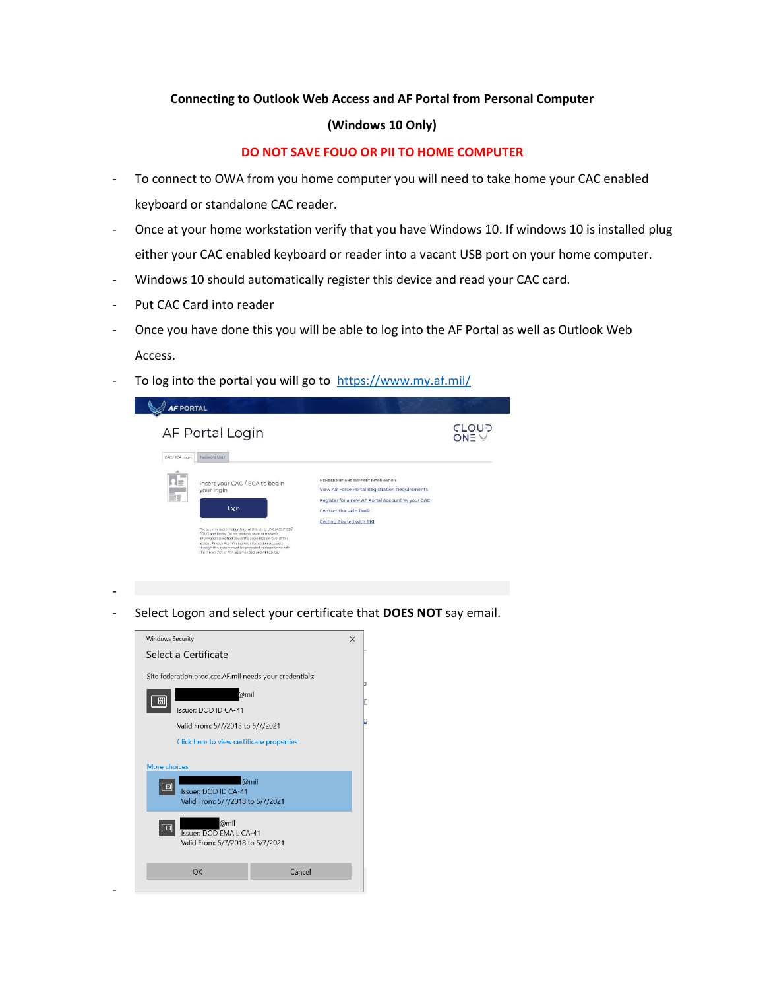## **Connecting to Outlook Web Access and AF Portal from Personal Computer**

## **(Windows 10 Only)**

## **DO NOT SAVE FOUO OR PII TO HOME COMPUTER**

- To connect to OWA from you home computer you will need to take home your CAC enabled keyboard or standalone CAC reader.
- Once at your home workstation verify that you have Windows 10. If windows 10 is installed plug either your CAC enabled keyboard or reader into a vacant USB port on your home computer.
- Windows 10 should automatically register this device and read your CAC card.
- Put CAC Card into reader
- Once you have done this you will be able to log into the AF Portal as well as Outlook Web Access.
- To log into the portal you will go to<https://www.my.af.mil/>



-

-

- Select Logon and select your certificate that **DOES NOT** say email.

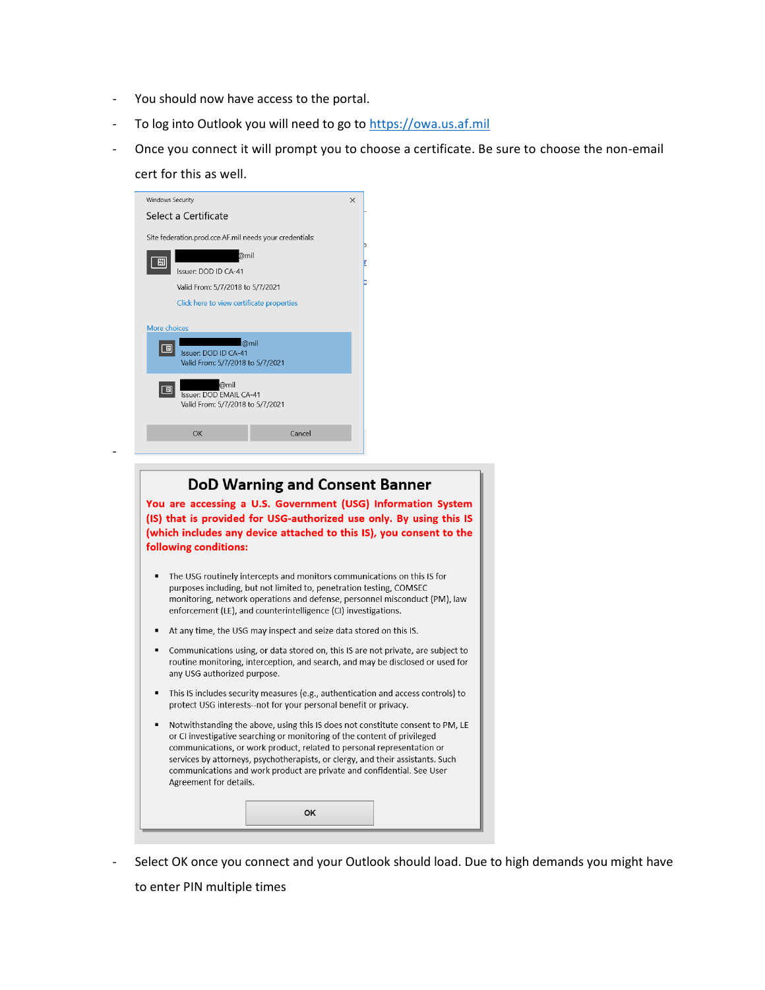- You should now have access to the portal.
- To log into Outlook you will need to go t[o https://owa.us.af.mil](https://owa.us.af.mil/)
- Once you connect it will prompt you to choose a certificate. Be sure to choose the non-email
	- cert for this as well.

-

| Windows Security                                                    | $\times$ |
|---------------------------------------------------------------------|----------|
| Select a Certificate                                                |          |
| Site federation.prod.cce.AF.mil needs your credentials:<br>@mil     |          |
| Issuer: DOD ID CA-41                                                |          |
| Valid From: 5/7/2018 to 5/7/2021                                    |          |
| Click here to view certificate properties                           |          |
| More choices                                                        |          |
| <b>Issuer: DOD ID CA-41</b><br>Valid From: 5/7/2018 to 5/7/2021     | @mil     |
| @mil<br>Issuer: DOD EMAIL CA-41<br>Valid From: 5/7/2018 to 5/7/2021 |          |
| OK                                                                  | Cancel   |
|                                                                     |          |

## **DoD Warning and Consent Banner** You are accessing a U.S. Government (USG) Information System (IS) that is provided for USG-authorized use only. By using this IS (which includes any device attached to this IS), you consent to the following conditions: • The USG routinely intercepts and monitors communications on this IS for purposes including, but not limited to, penetration testing, COMSEC monitoring, network operations and defense, personnel misconduct (PM), law enforcement (LE), and counterintelligence (CI) investigations. At any time, the USG may inspect and seize data stored on this IS. Communications using, or data stored on, this IS are not private, are subject to routine monitoring, interception, and search, and may be disclosed or used for any USG authorized purpose. This IS includes security measures (e.g., authentication and access controls) to protect USG interests--not for your personal benefit or privacy. Notwithstanding the above, using this IS does not constitute consent to PM, LE or CI investigative searching or monitoring of the content of privileged communications, or work product, related to personal representation or services by attorneys, psychotherapists, or clergy, and their assistants. Such communications and work product are private and confidential. See User Agreement for details. **OK**

Select OK once you connect and your Outlook should load. Due to high demands you might have to enter PIN multiple times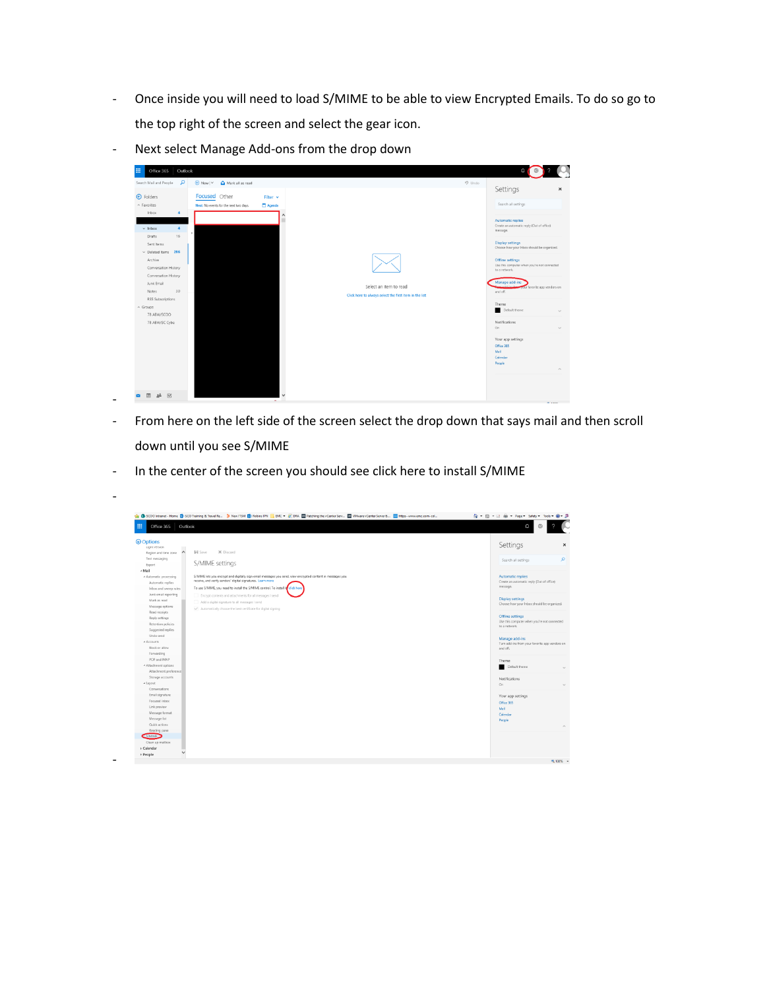- Once inside you will need to load S/MIME to be able to view Encrypted Emails. To do so go to the top right of the screen and select the gear icon.



- Next select Manage Add-ons from the drop down

- From here on the left side of the screen select the drop down that says mail and then scroll down until you see S/MIME
- In the center of the screen you should see click here to install S/MIME

-

-

| 冊<br>Outlook<br>Office 365                  |                                                                                                                                                                           | Ω                                                              |
|---------------------------------------------|---------------------------------------------------------------------------------------------------------------------------------------------------------------------------|----------------------------------------------------------------|
| <b>O</b> Options<br>Light version           |                                                                                                                                                                           | Settings                                                       |
| $\hat{\phantom{a}}$<br>Region and time zone | <b>El</b> Save<br>X Discard                                                                                                                                               |                                                                |
| Text messaging                              | S/MIME settings                                                                                                                                                           | Search all settings                                            |
| Export                                      |                                                                                                                                                                           |                                                                |
| ≁ Mail                                      |                                                                                                                                                                           |                                                                |
| * Automatic processing                      | S/MIME lets you encrypt and digitally sign email messages you send, view encrypted content in messages you<br>receive, and verify senders' digital signatures. Learn more | Automatic replies<br>Create an automatic reply (Out of office) |
| Automatic replies                           | To use S/MIME, you need to install the S/MIME control. To install it click here                                                                                           | message.                                                       |
| Inbox and sweep rules                       |                                                                                                                                                                           |                                                                |
| Junk email reporting<br>Mark as read        | Encrypt contents and attachments for all messages I send                                                                                                                  | Display settings                                               |
| Message options                             | Add a digital signature to all messages I send                                                                                                                            | Choose how your Inbox should be organized.                     |
| Read receipts                               | Automatically choose the best certificate for digital signing                                                                                                             |                                                                |
| Reply settings                              |                                                                                                                                                                           | <b>Offline settings</b>                                        |
| Retention policies                          |                                                                                                                                                                           | Use this computer when you're not connected                    |
| Suggested replies                           |                                                                                                                                                                           | to a network.                                                  |
| Undo send                                   |                                                                                                                                                                           |                                                                |
| * Accounts                                  |                                                                                                                                                                           | Manage add-ins                                                 |
| Block or allow                              |                                                                                                                                                                           | Turn add-ins from your favorite app vendors on<br>and off.     |
| Forwarding                                  |                                                                                                                                                                           |                                                                |
| POP and IMAP                                |                                                                                                                                                                           | Theme                                                          |
| * Attachment options                        |                                                                                                                                                                           | Default theme                                                  |
| Attachment preference                       |                                                                                                                                                                           |                                                                |
| Storage accounts                            |                                                                                                                                                                           | Notifications                                                  |
| * Layout                                    |                                                                                                                                                                           | On                                                             |
| Conversations                               |                                                                                                                                                                           |                                                                |
| Email signature                             |                                                                                                                                                                           | Your app settings                                              |
| Focused inbox                               |                                                                                                                                                                           | Office 365                                                     |
| Link preview                                |                                                                                                                                                                           | Mail                                                           |
| Message format                              |                                                                                                                                                                           | Calendar                                                       |
| Message list                                |                                                                                                                                                                           | People                                                         |
| Quick actions                               |                                                                                                                                                                           |                                                                |
| Reading pane                                |                                                                                                                                                                           |                                                                |
| S/MIME                                      |                                                                                                                                                                           |                                                                |
| Clean up melbox                             |                                                                                                                                                                           |                                                                |
| > Calendar<br>$\ddot{}$                     |                                                                                                                                                                           |                                                                |